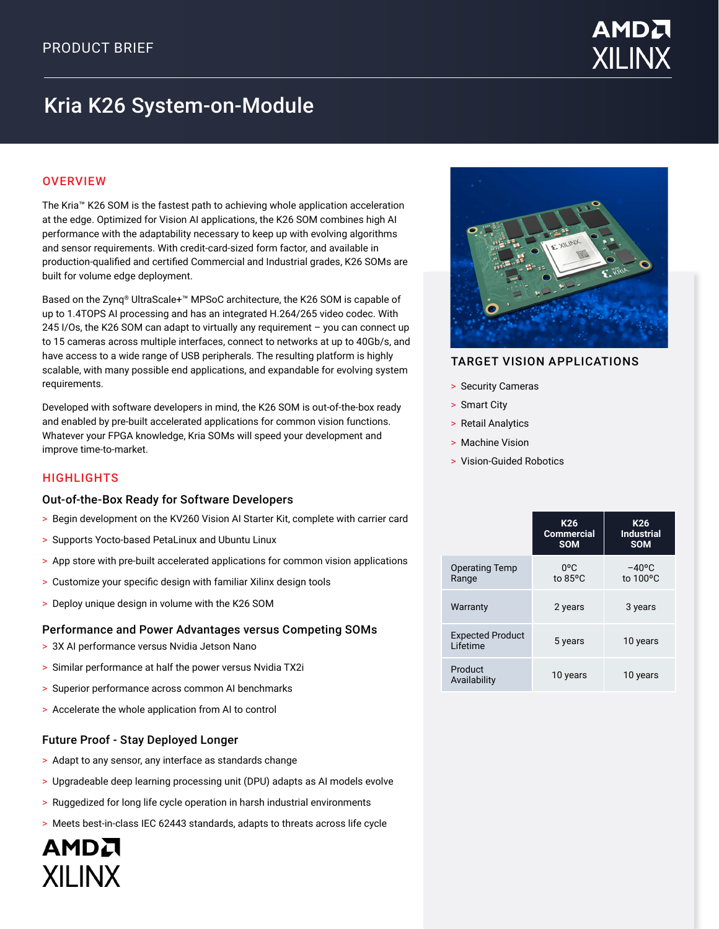

# Kria K26 System-on-Module

### **OVERVIEW**

The Kria™ K26 SOM is the fastest path to achieving whole application acceleration at the edge. Optimized for Vision AI applications, the K26 SOM combines high AI performance with the adaptability necessary to keep up with evolving algorithms and sensor requirements. With credit-card-sized form factor, and available in production-qualified and certified Commercial and Industrial grades, K26 SOMs are built for volume edge deployment.

Based on the Zynq® UltraScale+™ MPSoC architecture, the K26 SOM is capable of up to 1.4TOPS AI processing and has an integrated H.264/265 video codec. With 245 I/Os, the K26 SOM can adapt to virtually any requirement – you can connect up to 15 cameras across multiple interfaces, connect to networks at up to 40Gb/s, and have access to a wide range of USB peripherals. The resulting platform is highly scalable, with many possible end applications, and expandable for evolving system requirements.

Developed with software developers in mind, the K26 SOM is out-of-the-box ready and enabled by pre-built accelerated applications for common vision functions. Whatever your FPGA knowledge, Kria SOMs will speed your development and improve time-to-market.

#### **HIGHLIGHTS**

AMDA

**XII INX** 

#### Out-of-the-Box Ready for Software Developers

- > Begin development on the KV260 Vision AI Starter Kit, complete with carrier card
- > Supports Yocto-based PetaLinux and Ubuntu Linux
- > App store with pre-built accelerated applications for common vision applications
- > Customize your specific design with familiar Xilinx design tools
- > Deploy unique design in volume with the K26 SOM

#### Performance and Power Advantages versus Competing SOMs

- > 3X AI performance versus Nvidia Jetson Nano
- > Similar performance at half the power versus Nvidia TX2i
- > Superior performance across common AI benchmarks
- > Accelerate the whole application from AI to control

#### Future Proof - Stay Deployed Longer

- > Adapt to any sensor, any interface as standards change
- > Upgradeable deep learning processing unit (DPU) adapts as AI models evolve
- > Ruggedized for long life cycle operation in harsh industrial environments
- > Meets best-in-class IEC 62443 standards, adapts to threats across life cycle



#### TARGET VISION APPLICATIONS

- > Security Cameras
- > Smart City
- > Retail Analytics
- > Machine Vision
- > Vision-Guided Robotics

|                                     | K <sub>26</sub><br><b>Commercial</b><br><b>SOM</b> | K <sub>26</sub><br><b>Industrial</b><br><b>SOM</b> |
|-------------------------------------|----------------------------------------------------|----------------------------------------------------|
| <b>Operating Temp</b><br>Range      | $0^{\circ}$ C<br>to 85°C                           | $-40^{\circ}$ C<br>to 100°C                        |
| Warranty                            | 2 years                                            | 3 years                                            |
| <b>Expected Product</b><br>Lifetime | 5 years                                            | 10 years                                           |
| Product<br>Availability             | 10 years                                           | 10 years                                           |